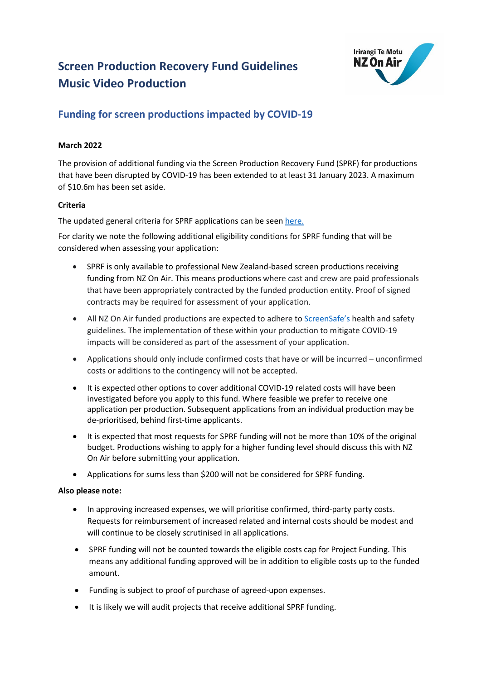# **Screen Production Recovery Fund Guidelines Music Video Production**



# **Funding for screen productions impacted by COVID-19**

## **March 2022**

The provision of additional funding via the Screen Production Recovery Fund (SPRF) for productions that have been disrupted by COVID-19 has been extended to at least 31 January 2023. A maximum of \$10.6m has been set aside.

## **Criteria**

The updated general criteria for SPRF applications can be seen [here.](https://www.nzonair.govt.nz/documents/796/COVID-19_SPRF_criteria_Mar_22.pdf)

For clarity we note the following additional eligibility conditions for SPRF funding that will be considered when assessing your application:

- SPRF is only available to professional New Zealand-based screen productions receiving funding from NZ On Air. This means productions where cast and crew are paid professionals that have been appropriately contracted by the funded production entity. Proof of signed contracts may be required for assessment of your application.
- All NZ On Air funded productions are expected to adhere t[o ScreenSafe's](https://screensafe.co.nz/) health and safety guidelines. The implementation of these within your production to mitigate COVID-19 impacts will be considered as part of the assessment of your application.
- Applications should only include confirmed costs that have or will be incurred unconfirmed costs or additions to the contingency will not be accepted.
- It is expected other options to cover additional COVID-19 related costs will have been investigated before you apply to this fund. Where feasible we prefer to receive one application per production. Subsequent applications from an individual production may be de-prioritised, behind first-time applicants.
- It is expected that most requests for SPRF funding will not be more than 10% of the original budget. Productions wishing to apply for a higher funding level should discuss this with NZ On Air before submitting your application.
- Applications for sums less than \$200 will not be considered for SPRF funding.

#### **Also please note:**

- In approving increased expenses, we will prioritise confirmed, third-party party costs. Requests for reimbursement of increased related and internal costs should be modest and will continue to be closely scrutinised in all applications.
- SPRF funding will not be counted towards the eligible costs cap for Project Funding. This means any additional funding approved will be in addition to eligible costs up to the funded amount.
- Funding is subject to proof of purchase of agreed-upon expenses.
- It is likely we will audit projects that receive additional SPRF funding.